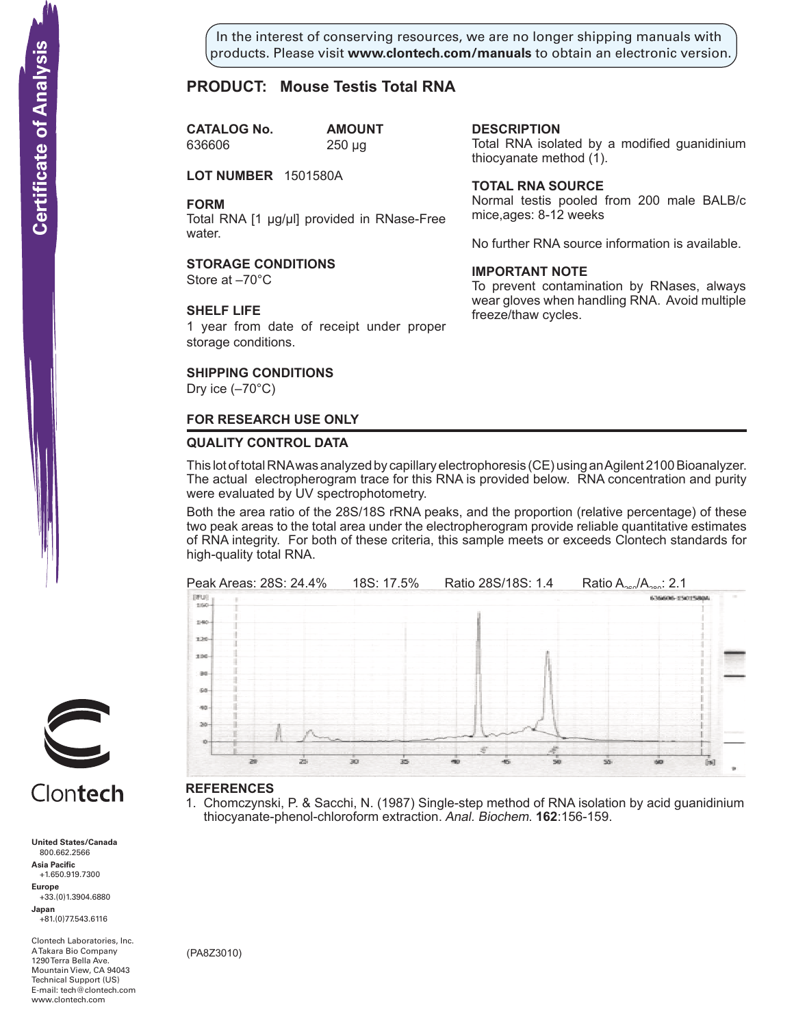In the interest of conserving resources, we are no longer shipping manuals with products. Please visit **www.clontech.com/manuals** to obtain an electronic version.

**description**

thiocyanate method  $(1)$ .

**Total RNA source**

mice,ages: 8-12 weeks

**IMPORTANT NOTE**

freeze/thaw cycles.

Total RNA isolated by a modified guanidinium

Normal testis pooled from 200 male BALB/c

No further RNA source information is available.

To prevent contamination by RNases, always wear gloves when handling RNA. Avoid multiple

# **PRODUCT: Mouse Testis Total RNA**

**CATALOG No. amount** 636606 250 µg

**LOT NUMBER** 1501580A

**FORM**

Total RNA [1 µg/µl] provided in RNase-Free water.

#### **STORAGE CONDITIONS**

Store at –70°C

#### **SHELF LIFE**

1 year from date of receipt under proper storage conditions.

## **SHIPPING CONDITIONS**

Dry ice  $(-70^{\circ}C)$ 

#### **FOR RESEARCH USE ONLY**

#### **QUALITY CONTROL DATA**

This lot of total RNA was analyzed by capillary electrophoresis (CE) using an Agilent 2100 Bioanalyzer. The actual electropherogram trace for this RNA is provided below. RNA concentration and purity were evaluated by UV spectrophotometry.

Both the area ratio of the 28S/18S rRNA peaks, and the proportion (relative percentage) of these two peak areas to the total area under the electropherogram provide reliable quantitative estimates of RNA integrity. For both of these criteria, this sample meets or exceeds Clontech standards for high-quality total RNA.



#### **References**

1. Chomczynski, P. & Sacchi, N. (1987) Single-step method of RNA isolation by acid guanidinium thiocyanate-phenol-chloroform extraction. Anal. Biochem. **162**:156-159.



# Clontech

**United States/Canada** 800.662.2566 **Asia Pacific** +1.650.919.7300 **Europe** +33.(0)1.3904.6880 **Japan** +81.(0)77.543.6116 **Solution Control Control Control Control Control Control Control Control Control Control Control Control Control Control Control Control Control Control Control Control Control Control Control Control Control Control Cont** 

Clontech Laboratories, Inc. A Takara Bio Company 1290 Terra Bella Ave. Mountain View, CA 94043 Technical Support (US) E-mail: tech@clontech.com<br>www.clontech.com

(PA8Z3010)